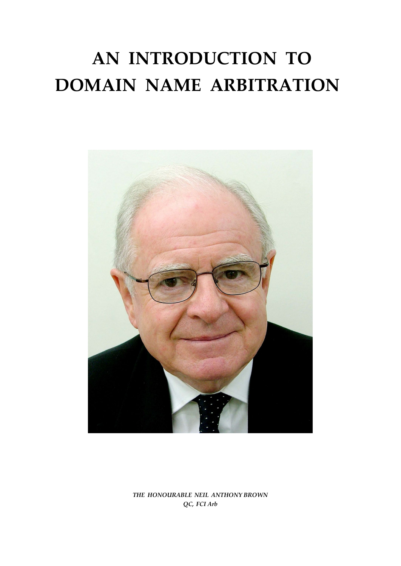# **AN INTRODUCTION TO DOMAIN NAME ARBITRATION**



*THE HONOURABLE NEIL ANTHONY BROWN QC, FCI Arb*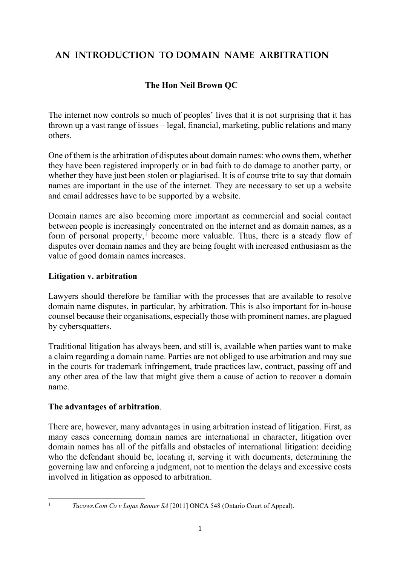# **AN INTRODUCTION TO DOMAIN NAME ARBITRATION**

# **The Hon Neil Brown QC**

The internet now controls so much of peoples' lives that it is not surprising that it has thrown up a vast range of issues – legal, financial, marketing, public relations and many others.

One of them is the arbitration of disputes about domain names: who owns them, whether they have been registered improperly or in bad faith to do damage to another party, or whether they have just been stolen or plagiarised. It is of course trite to say that domain names are important in the use of the internet. They are necessary to set up a website and email addresses have to be supported by a website.

Domain names are also becoming more important as commercial and social contact between people is increasingly concentrated on the internet and as domain names, as a form of personal property, [1](#page-1-0) become more valuable. Thus, there is a steady flow of disputes over domain names and they are being fought with increased enthusiasm as the value of good domain names increases.

# **Litigation v. arbitration**

Lawyers should therefore be familiar with the processes that are available to resolve domain name disputes, in particular, by arbitration. This is also important for in-house counsel because their organisations, especially those with prominent names, are plagued by cybersquatters.

Traditional litigation has always been, and still is, available when parties want to make a claim regarding a domain name. Parties are not obliged to use arbitration and may sue in the courts for trademark infringement, trade practices law, contract, passing off and any other area of the law that might give them a cause of action to recover a domain name.

#### **The advantages of arbitration**.

There are, however, many advantages in using arbitration instead of litigation. First, as many cases concerning domain names are international in character, litigation over domain names has all of the pitfalls and obstacles of international litigation: deciding who the defendant should be, locating it, serving it with documents, determining the governing law and enforcing a judgment, not to mention the delays and excessive costs involved in litigation as opposed to arbitration.

<span id="page-1-0"></span>

<sup>1</sup> *Tucows.Com Co v Lojas Renner SA* [2011] ONCA 548 (Ontario Court of Appeal).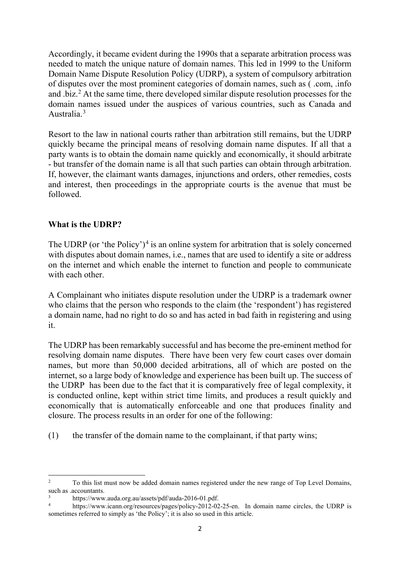Accordingly, it became evident during the 1990s that a separate arbitration process was needed to match the unique nature of domain names. This led in 1999 to the Uniform Domain Name Dispute Resolution Policy (UDRP), a system of compulsory arbitration of disputes over the most prominent categories of domain names, such as ( .com, .info and .biz.<sup>[2](#page-2-0)</sup> At the same time, there developed similar dispute resolution processes for the domain names issued under the auspices of various countries, such as Canada and Australia.<sup>[3](#page-2-1)</sup>

Resort to the law in national courts rather than arbitration still remains, but the UDRP quickly became the principal means of resolving domain name disputes. If all that a party wants is to obtain the domain name quickly and economically, it should arbitrate - but transfer of the domain name is all that such parties can obtain through arbitration. If, however, the claimant wants damages, injunctions and orders, other remedies, costs and interest, then proceedings in the appropriate courts is the avenue that must be followed.

# **What is the UDRP?**

The UDRP (or 'the Policy')<sup>[4](#page-2-2)</sup> is an online system for arbitration that is solely concerned with disputes about domain names, i.e., names that are used to identify a site or address on the internet and which enable the internet to function and people to communicate with each other.

A Complainant who initiates dispute resolution under the UDRP is a trademark owner who claims that the person who responds to the claim (the 'respondent') has registered a domain name, had no right to do so and has acted in bad faith in registering and using it.

The UDRP has been remarkably successful and has become the pre-eminent method for resolving domain name disputes. There have been very few court cases over domain names, but more than 50,000 decided arbitrations, all of which are posted on the internet, so a large body of knowledge and experience has been built up. The success of the UDRP has been due to the fact that it is comparatively free of legal complexity, it is conducted online, kept within strict time limits, and produces a result quickly and economically that is automatically enforceable and one that produces finality and closure. The process results in an order for one of the following:

(1) the transfer of the domain name to the complainant, if that party wins;

<span id="page-2-0"></span><sup>&</sup>lt;sup>2</sup> To this list must now be added domain names registered under the new range of Top Level Domains, such as .accountants.

<span id="page-2-1"></span> $\frac{3}{4}$  https://www.auda.org.au/assets/pdf/auda-2016-01.pdf.

<span id="page-2-2"></span>[https://www.icann.org/resources/pages/policy-2012-02-25-en.](https://www.icann.org/resources/pages/policy-2012-02-25-en) In domain name circles, the UDRP is sometimes referred to simply as 'the Policy'; it is also so used in this article.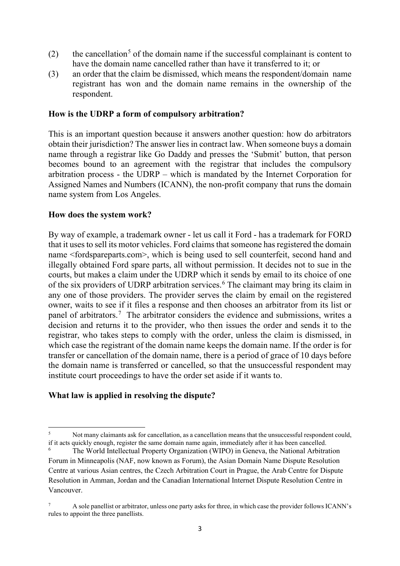- (2) the cancellation<sup>[5](#page-3-0)</sup> of the domain name if the successful complainant is content to have the domain name cancelled rather than have it transferred to it; or
- (3) an order that the claim be dismissed, which means the respondent/domain name registrant has won and the domain name remains in the ownership of the respondent.

#### **How is the UDRP a form of compulsory arbitration?**

This is an important question because it answers another question: how do arbitrators obtain their jurisdiction? The answer lies in contract law. When someone buys a domain name through a registrar like Go Daddy and presses the 'Submit' button, that person becomes bound to an agreement with the registrar that includes the compulsory arbitration process - the UDRP – which is mandated by the Internet Corporation for Assigned Names and Numbers (ICANN), the non-profit company that runs the domain name system from Los Angeles.

#### **How does the system work?**

By way of example, a trademark owner - let us call it Ford - has a trademark for FORD that it uses to sell its motor vehicles. Ford claims that someone has registered the domain name <fordspareparts.com>, which is being used to sell counterfeit, second hand and illegally obtained Ford spare parts, all without permission. It decides not to sue in the courts, but makes a claim under the UDRP which it sends by email to its choice of one of the six providers of UDRP arbitration services. [6](#page-3-1) The claimant may bring its claim in any one of those providers. The provider serves the claim by email on the registered owner, waits to see if it files a response and then chooses an arbitrator from its list or panel of arbitrators.<sup>[7](#page-3-2)</sup> The arbitrator considers the evidence and submissions, writes a decision and returns it to the provider, who then issues the order and sends it to the registrar, who takes steps to comply with the order, unless the claim is dismissed, in which case the registrant of the domain name keeps the domain name. If the order is for transfer or cancellation of the domain name, there is a period of grace of 10 days before the domain name is transferred or cancelled, so that the unsuccessful respondent may institute court proceedings to have the order set aside if it wants to.

#### **What law is applied in resolving the dispute?**

<span id="page-3-0"></span><sup>&</sup>lt;sup>5</sup> Not many claimants ask for cancellation, as a cancellation means that the unsuccessful respondent could, if it acts quickly enough, register the same domain name again, immediately after it has been cancelled.

<span id="page-3-1"></span><sup>6</sup> The World Intellectual Property Organization (WIPO) in Geneva, the National Arbitration Forum in Minneapolis (NAF, now known as Forum), the Asian Domain Name Dispute Resolution Centre at various Asian centres, the Czech Arbitration Court in Prague, the Arab Centre for Dispute Resolution in Amman, Jordan and the Canadian International Internet Dispute Resolution Centre in Vancouver.

<span id="page-3-2"></span><sup>&</sup>lt;sup>7</sup> A sole panellist or arbitrator, unless one party asks for three, in which case the provider follows ICANN's rules to appoint the three panellists.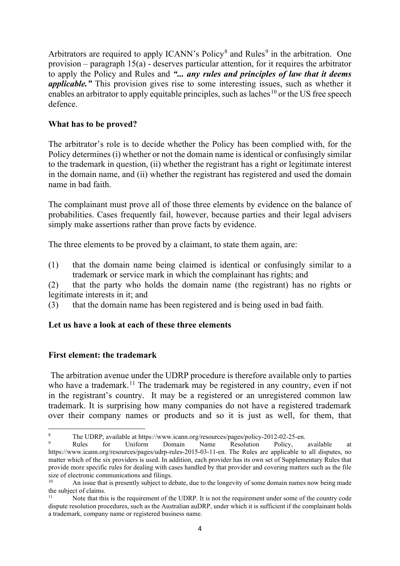Arbitrators are required to apply ICANN's Policy<sup>[8](#page-4-0)</sup> and Rules<sup>[9](#page-4-1)</sup> in the arbitration. One provision – paragraph  $15(a)$  - deserves particular attention, for it requires the arbitrator to apply the Policy and Rules and *"... any rules and principles of law that it deems applicable."* This provision gives rise to some interesting issues, such as whether it enables an arbitrator to apply equitable principles, such as laches<sup>[10](#page-4-2)</sup> or the US free speech defence.

#### **What has to be proved?**

The arbitrator's role is to decide whether the Policy has been complied with, for the Policy determines (i) whether or not the domain name is identical or confusingly similar to the trademark in question, (ii) whether the registrant has a right or legitimate interest in the domain name, and (ii) whether the registrant has registered and used the domain name in bad faith.

The complainant must prove all of those three elements by evidence on the balance of probabilities. Cases frequently fail, however, because parties and their legal advisers simply make assertions rather than prove facts by evidence.

The three elements to be proved by a claimant, to state them again, are:

(1) that the domain name being claimed is identical or confusingly similar to a trademark or service mark in which the complainant has rights; and

(2) that the party who holds the domain name (the registrant) has no rights or legitimate interests in it; and

(3) that the domain name has been registered and is being used in bad faith.

# **Let us have a look at each of these three elements**

# **First element: the trademark**

The arbitration avenue under the UDRP procedure is therefore available only to parties who have a trademark.<sup>[11](#page-4-3)</sup> The trademark may be registered in any country, even if not in the registrant's country. It may be a registered or an unregistered common law trademark. It is surprising how many companies do not have a registered trademark over their company names or products and so it is just as well, for them, that

<span id="page-4-0"></span><sup>&</sup>lt;sup>8</sup> The UDRP, available at https://www.icann.org/resources/pages/policy-2012-02-25-en.<br><sup>9</sup> Rules for Uniform Domain Name Resolution Policy, available at

<span id="page-4-1"></span>https://www.icann.org/resources/pages/udrp-rules-2015-03-11-en. The Rules are applicable to all disputes, no matter which of the six providers is used. In addition, each provider has its own set of Supplementary Rules that provide more specific rules for dealing with cases handled by that provider and covering matters such as the file size of electronic communications and filings.

<span id="page-4-2"></span>An issue that is presently subject to debate, due to the longevity of some domain names now being made the subject of claims.<br> $\frac{11}{11}$  Note that this

<span id="page-4-3"></span>Note that this is the requirement of the UDRP. It is not the requirement under some of the country code dispute resolution procedures, such as the Australian auDRP, under which it is sufficient if the complainant holds a trademark, company name or registered business name.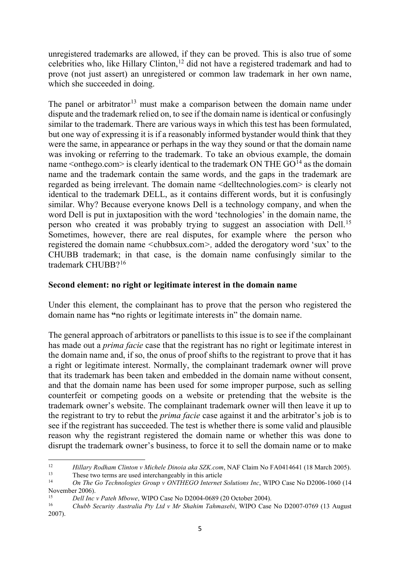unregistered trademarks are allowed, if they can be proved. This is also true of some celebrities who, like Hillary Clinton, [12](#page-5-0) did not have a registered trademark and had to prove (not just assert) an unregistered or common law trademark in her own name, which she succeeded in doing.

The panel or arbitrator<sup>[13](#page-5-1)</sup> must make a comparison between the domain name under dispute and the trademark relied on, to see if the domain name is identical or confusingly similar to the trademark. There are various ways in which this test has been formulated, but one way of expressing it is if a reasonably informed bystander would think that they were the same, in appearance or perhaps in the way they sound or that the domain name was invoking or referring to the trademark. To take an obvious example, the domain name  $\leq$  onthego.com $\geq$  is clearly identical to the trademark ON THE GO<sup>[14](#page-5-2)</sup> as the domain name and the trademark contain the same words, and the gaps in the trademark are regarded as being irrelevant. The domain name <delltechnologies.com> is clearly not identical to the trademark DELL, as it contains different words, but it is confusingly similar. Why? Because everyone knows Dell is a technology company, and when the word Dell is put in juxtaposition with the word 'technologies' in the domain name, the person who created it was probably trying to suggest an association with Dell.[15](#page-5-3) Sometimes, however, there are real disputes, for example where the person who registered the domain name *<*chubbsux.com*>,* added the derogatory word 'sux' to the CHUBB trademark; in that case, is the domain name confusingly similar to the trademark CHUBB?[16](#page-5-4)

#### **Second element: no right or legitimate interest in the domain name**

Under this element, the complainant has to prove that the person who registered the domain name has **"**no rights or legitimate interests in" the domain name.

The general approach of arbitrators or panellists to this issue is to see if the complainant has made out a *prima facie* case that the registrant has no right or legitimate interest in the domain name and, if so, the onus of proof shifts to the registrant to prove that it has a right or legitimate interest. Normally, the complainant trademark owner will prove that its trademark has been taken and embedded in the domain name without consent, and that the domain name has been used for some improper purpose, such as selling counterfeit or competing goods on a website or pretending that the website is the trademark owner's website. The complainant trademark owner will then leave it up to the registrant to try to rebut the *prima facie* case against it and the arbitrator's job is to see if the registrant has succeeded. The test is whether there is some valid and plausible reason why the registrant registered the domain name or whether this was done to disrupt the trademark owner's business, to force it to sell the domain name or to make

<span id="page-5-0"></span><sup>&</sup>lt;sup>12</sup> *Hillary Rodham Clinton v Michele Dinoia aka SZK.com*, NAF Claim No FA0414641 (18 March 2005).<br><sup>13</sup> These two terms are used interchangeably in this article<br>2007 *H<sub>1</sub> Co. The Co. Take large Crown at OMTHECO between* 

<span id="page-5-2"></span><span id="page-5-1"></span><sup>14</sup> *On The Go Technologies Group v ONTHEGO Internet Solutions Inc*, WIPO Case No D2006-1060 (14 November 2006).

<span id="page-5-3"></span><sup>15</sup> *Dell Inc v Pateh Mbowe*, WIPO Case No D2004-0689 (20 October 2004).

<span id="page-5-4"></span><sup>16</sup> *Chubb Security Australia Pty Ltd v Mr Shahim Tahmasebi*, WIPO Case No D2007-0769 (13 August 2007).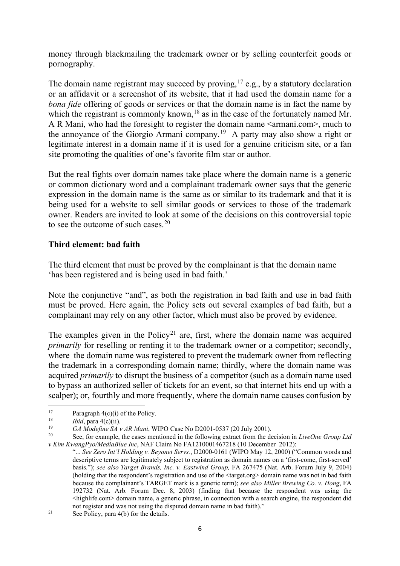money through blackmailing the trademark owner or by selling counterfeit goods or pornography.

The domain name registrant may succeed by proving,  $17$  e.g., by a statutory declaration or an affidavit or a screenshot of its website, that it had used the domain name for a *bona fide* offering of goods or services or that the domain name is in fact the name by which the registrant is commonly known,  $18$  as in the case of the fortunately named Mr. A R Mani, who had the foresight to register the domain name <armani.com>, much to the annoyance of the Giorgio Armani company.<sup>[19](#page-6-2)</sup> A party may also show a right or legitimate interest in a domain name if it is used for a genuine criticism site, or a fan site promoting the qualities of one's favorite film star or author.

But the real fights over domain names take place where the domain name is a generic or common dictionary word and a complainant trademark owner says that the generic expression in the domain name is the same as or similar to its trademark and that it is being used for a website to sell similar goods or services to those of the trademark owner. Readers are invited to look at some of the decisions on this controversial topic to see the outcome of such cases.<sup>[20](#page-6-3)</sup>

#### **Third element: bad faith**

The third element that must be proved by the complainant is that the domain name 'has been registered and is being used in bad faith.'

Note the conjunctive "and", as both the registration in bad faith and use in bad faith must be proved. Here again, the Policy sets out several examples of bad faith, but a complainant may rely on any other factor, which must also be proved by evidence.

The examples given in the Policy<sup>[21](#page-6-4)</sup> are, first, where the domain name was acquired *primarily* for reselling or renting it to the trademark owner or a competitor; secondly, where the domain name was registered to prevent the trademark owner from reflecting the trademark in a corresponding domain name; thirdly, where the domain name was acquired *primarily* to disrupt the business of a competitor (such as a domain name used to bypass an authorized seller of tickets for an event, so that internet hits end up with a scalper); or, fourthly and more frequently, where the domain name causes confusion by

<span id="page-6-0"></span><sup>&</sup>lt;sup>17</sup> Paragraph  $4(c)(i)$  of the Policy.<br><sup>18</sup> *Ibid.* para  $4(c)(ii)$ 

<span id="page-6-1"></span><sup>&</sup>lt;sup>18</sup> *Ibid*, para 4(c)(ii).

<span id="page-6-2"></span><sup>&</sup>lt;sup>19</sup> *GA Modefine SA v AR Mani*, WIPO Case No D2001-0537 (20 July 2001).

<span id="page-6-3"></span><sup>20</sup> See, for example, the cases mentioned in the following extract from the decision in *LiveOne Group Ltd v Kim KwangPyo/MediaBlue Inc*, NAF Claim No FA1210001467218 (10 December 2012):

<sup>&</sup>quot;... *See Zero Int'l Holding v. Beyonet Servs.*, D2000-0161 (WIPO May 12, 2000) ("Common words and descriptive terms are legitimately subject to registration as domain names on a 'first-come, first-served' basis."); *see also Target Brands, Inc. v. Eastwind Group,* FA 267475 (Nat. Arb. Forum July 9, 2004) (holding that the respondent's registration and use of the <target.org> domain name was not in bad faith because the complainant's TARGET mark is a generic term); *see also Miller Brewing Co. v. Hong*, FA 192732 (Nat. Arb. Forum Dec. 8, 2003) (finding that because the respondent was using the <highlife.com> domain name, a generic phrase, in connection with a search engine, the respondent did not register and was not using the disputed domain name in bad faith)."

<span id="page-6-4"></span><sup>&</sup>lt;sup>21</sup> See Policy, para 4(b) for the details.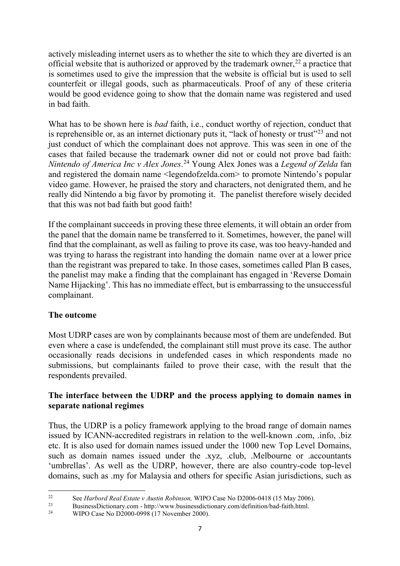actively misleading internet users as to whether the site to which they are diverted is an official website that is authorized or approved by the trademark owner,<sup>[22](#page-7-0)</sup> a practice that is sometimes used to give the impression that the website is official but is used to sell counterfeit or illegal goods, such as pharmaceuticals. Proof of any of these criteria would be good evidence going to show that the domain name was registered and used in bad faith.

What has to be shown here is *bad* faith, i.e., conduct worthy of rejection, conduct that is reprehensible or, as an internet dictionary puts it, "lack of honesty or trust"<sup>[23](#page-7-1)</sup> and not just conduct of which the complainant does not approve. This was seen in one of the cases that failed because the trademark owner did not or could not prove bad faith: *Nintendo of America Inc v Alex Jones*. [24](#page-7-2) Young Alex Jones was a *Legend of Zelda* fan and registered the domain name <legendofzelda.com> to promote Nintendo's popular video game. However, he praised the story and characters, not denigrated them, and he really did Nintendo a big favor by promoting it. The panelist therefore wisely decided that this was not bad faith but good faith!

If the complainant succeeds in proving these three elements, it will obtain an order from the panel that the domain name be transferred to it. Sometimes, however, the panel will find that the complainant, as well as failing to prove its case, was too heavy-handed and was trying to harass the registrant into handing the domain name over at a lower price than the registrant was prepared to take. In those cases, sometimes called Plan B cases, the panelist may make a finding that the complainant has engaged in 'Reverse Domain Name Hijacking'. This has no immediate effect, but is embarrassing to the unsuccessful complainant.

# **The outcome**

Most UDRP cases are won by complainants because most of them are undefended. But even where a case is undefended, the complainant still must prove its case. The author occasionally reads decisions in undefended cases in which respondents made no submissions, but complainants failed to prove their case, with the result that the respondents prevailed.

# **The interface between the UDRP and the process applying to domain names in separate national regimes**

Thus, the UDRP is a policy framework applying to the broad range of domain names issued by ICANN-accredited registrars in relation to the well-known .com, .info, .biz etc. It is also used for domain names issued under the 1000 new Top Level Domains, such as domain names issued under the .xyz, .club, .Melbourne or .accountants 'umbrellas'. As well as the UDRP, however, there are also country-code top-level domains, such as .my for Malaysia and others for specific Asian jurisdictions, such as

<span id="page-7-0"></span><sup>&</sup>lt;sup>22</sup> See *Harbord Real Estate v Austin Robinson*, WIPO Case No D2006-0418 (15 May 2006).<br><sup>23</sup> BusinessDictionary.com - http://www.businessdictionary.com/definition/bad-faith.html.

<span id="page-7-2"></span><span id="page-7-1"></span>WIPO Case No D2000-0998 (17 November 2000).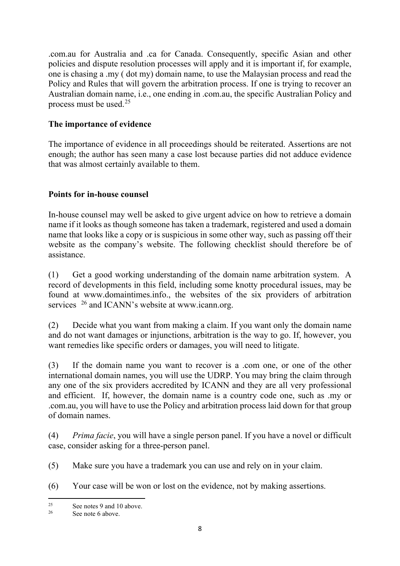.com.au for Australia and .ca for Canada. Consequently, specific Asian and other policies and dispute resolution processes will apply and it is important if, for example, one is chasing a .my ( dot my) domain name, to use the Malaysian process and read the Policy and Rules that will govern the arbitration process. If one is trying to recover an Australian domain name, i.e., one ending in .com.au, the specific Australian Policy and process must be used.[25](#page-8-0)

# **The importance of evidence**

The importance of evidence in all proceedings should be reiterated. Assertions are not enough; the author has seen many a case lost because parties did not adduce evidence that was almost certainly available to them.

# **Points for in-house counsel**

In-house counsel may well be asked to give urgent advice on how to retrieve a domain name if it looks as though someone has taken a trademark, registered and used a domain name that looks like a copy or is suspicious in some other way, such as passing off their website as the company's website. The following checklist should therefore be of assistance.

(1) Get a good working understanding of the domain name arbitration system. A record of developments in this field, including some knotty procedural issues, may be found at [www.domaintimes.info.](http://www.domaintimes.info/), the websites of the six providers of arbitration services <sup>[26](#page-8-1)</sup> and ICANN's website at [www.icann.org.](http://www.icann.org/)

(2) Decide what you want from making a claim. If you want only the domain name and do not want damages or injunctions, arbitration is the way to go. If, however, you want remedies like specific orders or damages, you will need to litigate.

(3) If the domain name you want to recover is a .com one, or one of the other international domain names, you will use the UDRP. You may bring the claim through any one of the six providers accredited by ICANN and they are all very professional and efficient. If, however, the domain name is a country code one, such as .my or .com.au, you will have to use the Policy and arbitration process laid down for that group of domain names.

(4) *Prima facie*, you will have a single person panel. If you have a novel or difficult case, consider asking for a three-person panel.

(5) Make sure you have a trademark you can use and rely on in your claim.

(6) Your case will be won or lost on the evidence, not by making assertions.

<span id="page-8-0"></span><sup>&</sup>lt;sup>25</sup> See notes 9 and 10 above.

<span id="page-8-1"></span>See note 6 above.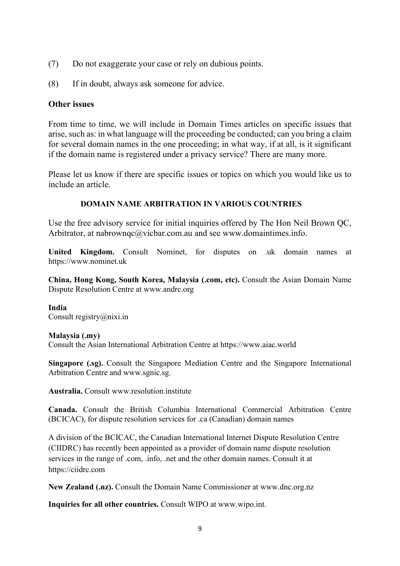- (7) Do not exaggerate your case or rely on dubious points.
- (8) If in doubt, always ask someone for advice.

#### **Other issues**

From time to time, we will include in Domain Times articles on specific issues that arise, such as: in what language will the proceeding be conducted; can you bring a claim for several domain names in the one proceeding; in what way, if at all, is it significant if the domain name is registered under a privacy service? There are many more.

Please let us know if there are specific issues or topics on which you would like us to include an article.

#### **DOMAIN NAME ARBITRATION IN VARIOUS COUNTRIES**

Use the free advisory service for initial inquiries offered by The Hon Neil Brown QC, Arbitrator, at [nabrownqc@vicbar.com.au](mailto:nabrownqc@vicbar.com.au) and see [www.domaintimes.info.](http://www.domaintimes.info/)

**United Kingdom.** Consult Nominet, for disputes on .uk domain names at https://www.nominet.uk

**China, Hong Kong, South Korea, Malaysia (.com, etc).** Consult the Asian Domain Name Dispute Resolution Centre at [www.andrc.org](http://www.andrc.org/)

**India**

Consult [registry@nixi.in](mailto:registry@nixi.in)

#### **Malaysia (.my)**

Consult the Asian International Arbitration Centre at https://www.aiac.world

**Singapore (.sg).** Consult the Singapore Mediation Centre and the Singapore International Arbitration Centre and [www.sgnic.sg.](http://www.sgnic.sg/)

**Australia.** Consult [www.resolution.institute](http://www.resolution.institute/)

**Canada.** Consult the British Columbia International Commercial Arbitration Centre (BCICAC), for dispute resolution services for .ca (Canadian) domain names

A division of the BCICAC, the Canadian International Internet Dispute Resolution Centre (CIIDRC) has recently been appointed as a provider of domain name dispute resolution services in the range of .com, .info, .net and the other domain names. Consult it at https://ciidrc.com

**New Zealand (.nz).** Consult the Domain Name Commissioner at www.dnc.org.nz

**Inquiries for all other countries.** Consult WIPO at www.wipo.int.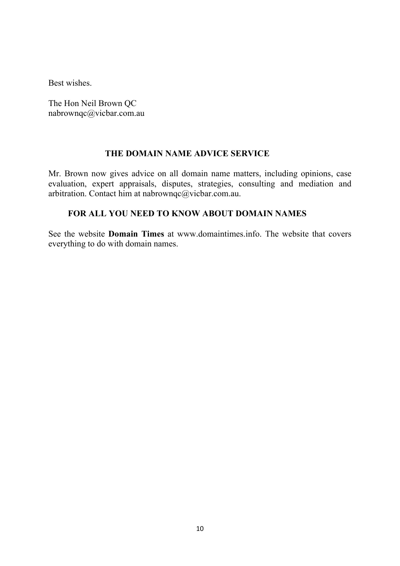Best wishes.

The Hon Neil Brown QC [nabrownqc@vicbar.com.au](mailto:nabrownqc@vicbar.com.au)

# **THE DOMAIN NAME ADVICE SERVICE**

Mr. Brown now gives advice on all domain name matters, including opinions, case evaluation, expert appraisals, disputes, strategies, consulting and mediation and arbitration. Contact him at [nabrownqc@vicbar.com.au.](mailto:nabrownqc@vicbar.com.au)

### **FOR ALL YOU NEED TO KNOW ABOUT DOMAIN NAMES**

See the website **Domain Times** at [www.domaintimes.info.](http://www.domaintimes.info/) The website that covers everything to do with domain names.